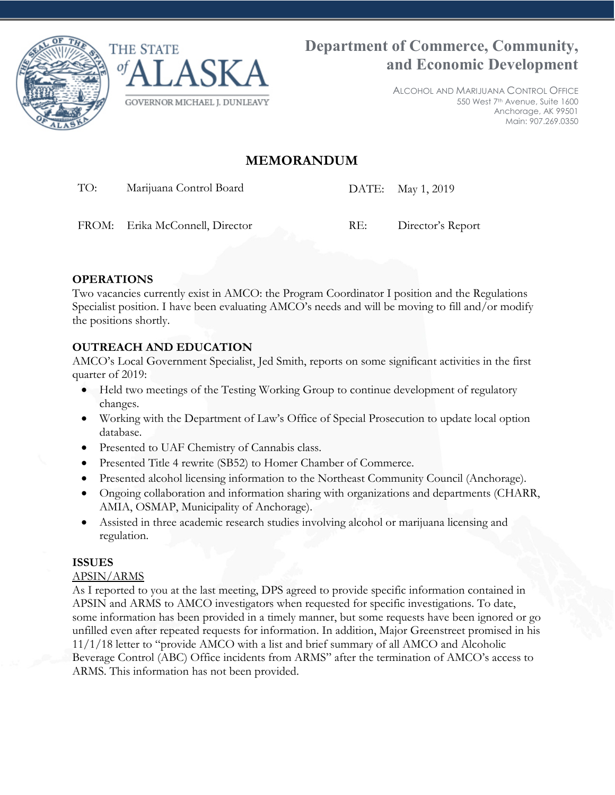



ALCOHOL AND MARIJUANA CONTROL OFFICE 550 West 7th Avenue, Suite 1600 Anchorage, AK 99501 Main: 907.269.0350

# **MEMORANDUM**

TO: Marijuana Control Board DATE: May 1, 2019

FROM: Erika McConnell, Director RE: Director's Report

## **OPERATIONS**

Two vacancies currently exist in AMCO: the Program Coordinator I position and the Regulations Specialist position. I have been evaluating AMCO's needs and will be moving to fill and/or modify the positions shortly.

### **OUTREACH AND EDUCATION**

AMCO's Local Government Specialist, Jed Smith, reports on some significant activities in the first quarter of 2019:

- Held two meetings of the Testing Working Group to continue development of regulatory changes.
- Working with the Department of Law's Office of Special Prosecution to update local option database.
- Presented to UAF Chemistry of Cannabis class.
- Presented Title 4 rewrite (SB52) to Homer Chamber of Commerce.
- Presented alcohol licensing information to the Northeast Community Council (Anchorage).
- Ongoing collaboration and information sharing with organizations and departments (CHARR, AMIA, OSMAP, Municipality of Anchorage).
- Assisted in three academic research studies involving alcohol or marijuana licensing and regulation.

### **ISSUES**

### APSIN/ARMS

As I reported to you at the last meeting, DPS agreed to provide specific information contained in APSIN and ARMS to AMCO investigators when requested for specific investigations. To date, some information has been provided in a timely manner, but some requests have been ignored or go unfilled even after repeated requests for information. In addition, Major Greenstreet promised in his 11/1/18 letter to "provide AMCO with a list and brief summary of all AMCO and Alcoholic Beverage Control (ABC) Office incidents from ARMS" after the termination of AMCO's access to ARMS. This information has not been provided.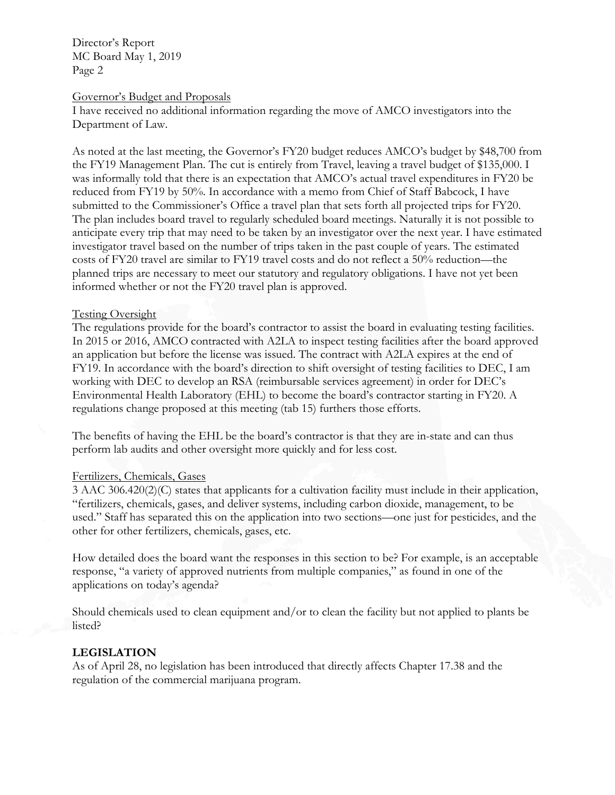Director's Report MC Board May 1, 2019 Page 2

#### Governor's Budget and Proposals

I have received no additional information regarding the move of AMCO investigators into the Department of Law.

As noted at the last meeting, the Governor's FY20 budget reduces AMCO's budget by \$48,700 from the FY19 Management Plan. The cut is entirely from Travel, leaving a travel budget of \$135,000. I was informally told that there is an expectation that AMCO's actual travel expenditures in FY20 be reduced from FY19 by 50%. In accordance with a memo from Chief of Staff Babcock, I have submitted to the Commissioner's Office a travel plan that sets forth all projected trips for FY20. The plan includes board travel to regularly scheduled board meetings. Naturally it is not possible to anticipate every trip that may need to be taken by an investigator over the next year. I have estimated investigator travel based on the number of trips taken in the past couple of years. The estimated costs of FY20 travel are similar to FY19 travel costs and do not reflect a 50% reduction—the planned trips are necessary to meet our statutory and regulatory obligations. I have not yet been informed whether or not the FY20 travel plan is approved.

#### Testing Oversight

The regulations provide for the board's contractor to assist the board in evaluating testing facilities. In 2015 or 2016, AMCO contracted with A2LA to inspect testing facilities after the board approved an application but before the license was issued. The contract with A2LA expires at the end of FY19. In accordance with the board's direction to shift oversight of testing facilities to DEC, I am working with DEC to develop an RSA (reimbursable services agreement) in order for DEC's Environmental Health Laboratory (EHL) to become the board's contractor starting in FY20. A regulations change proposed at this meeting (tab 15) furthers those efforts.

The benefits of having the EHL be the board's contractor is that they are in-state and can thus perform lab audits and other oversight more quickly and for less cost.

#### Fertilizers, Chemicals, Gases

3 AAC 306.420(2)(C) states that applicants for a cultivation facility must include in their application, "fertilizers, chemicals, gases, and deliver systems, including carbon dioxide, management, to be used." Staff has separated this on the application into two sections—one just for pesticides, and the other for other fertilizers, chemicals, gases, etc.

How detailed does the board want the responses in this section to be? For example, is an acceptable response, "a variety of approved nutrients from multiple companies," as found in one of the applications on today's agenda?

Should chemicals used to clean equipment and/or to clean the facility but not applied to plants be listed?

#### **LEGISLATION**

As of April 28, no legislation has been introduced that directly affects Chapter 17.38 and the regulation of the commercial marijuana program.